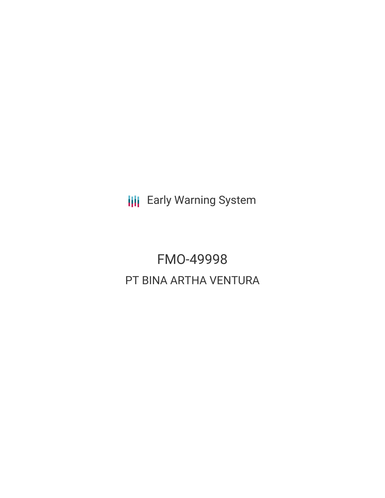**III** Early Warning System

FMO-49998 PT BINA ARTHA VENTURA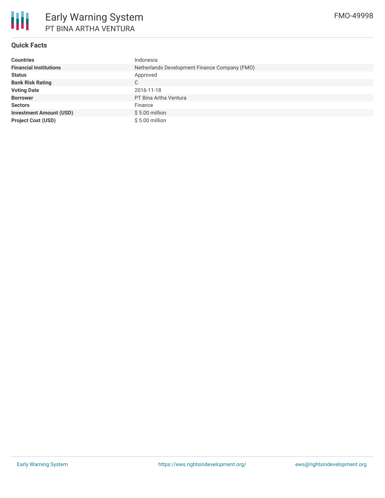

# **Quick Facts**

| <b>Countries</b>               | Indonesia                                     |  |  |  |
|--------------------------------|-----------------------------------------------|--|--|--|
| <b>Financial Institutions</b>  | Netherlands Development Finance Company (FMO) |  |  |  |
| <b>Status</b>                  | Approved                                      |  |  |  |
| <b>Bank Risk Rating</b>        | C                                             |  |  |  |
| <b>Voting Date</b>             | 2016-11-18                                    |  |  |  |
| <b>Borrower</b>                | PT Bina Artha Ventura                         |  |  |  |
| <b>Sectors</b>                 | Finance                                       |  |  |  |
| <b>Investment Amount (USD)</b> | $$5.00$ million                               |  |  |  |
| <b>Project Cost (USD)</b>      | $$5.00$ million                               |  |  |  |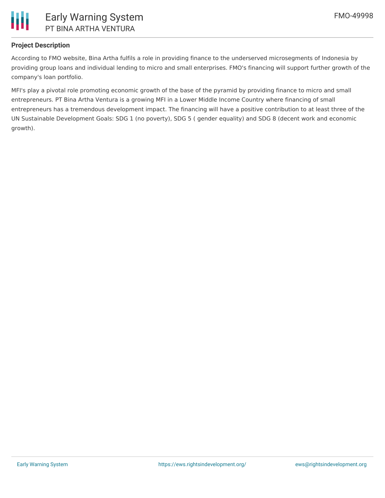

## **Project Description**

According to FMO website, Bina Artha fulfils a role in providing finance to the underserved microsegments of Indonesia by providing group loans and individual lending to micro and small enterprises. FMO's financing will support further growth of the company's loan portfolio.

MFI's play a pivotal role promoting economic growth of the base of the pyramid by providing finance to micro and small entrepreneurs. PT Bina Artha Ventura is a growing MFI in a Lower Middle Income Country where financing of small entrepreneurs has a tremendous development impact. The financing will have a positive contribution to at least three of the UN Sustainable Development Goals: SDG 1 (no poverty), SDG 5 ( gender equality) and SDG 8 (decent work and economic growth).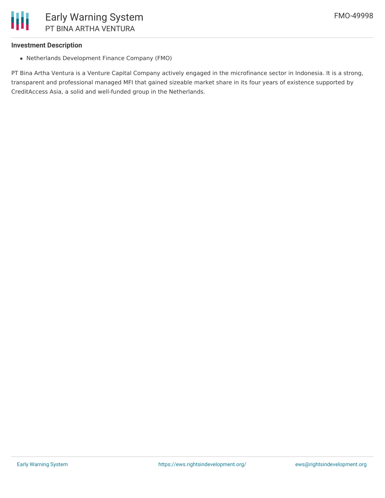#### **Investment Description**

Netherlands Development Finance Company (FMO)

PT Bina Artha Ventura is a Venture Capital Company actively engaged in the microfinance sector in Indonesia. It is a strong, transparent and professional managed MFI that gained sizeable market share in its four years of existence supported by CreditAccess Asia, a solid and well-funded group in the Netherlands.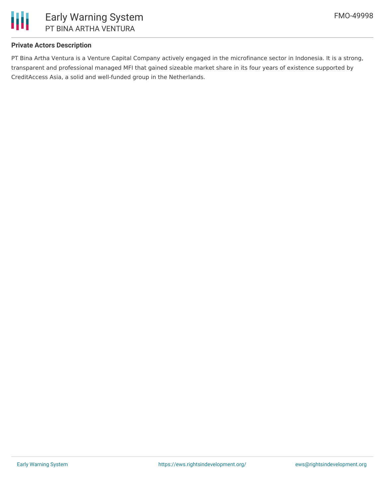

## **Private Actors Description**

PT Bina Artha Ventura is a Venture Capital Company actively engaged in the microfinance sector in Indonesia. It is a strong, transparent and professional managed MFI that gained sizeable market share in its four years of existence supported by CreditAccess Asia, a solid and well-funded group in the Netherlands.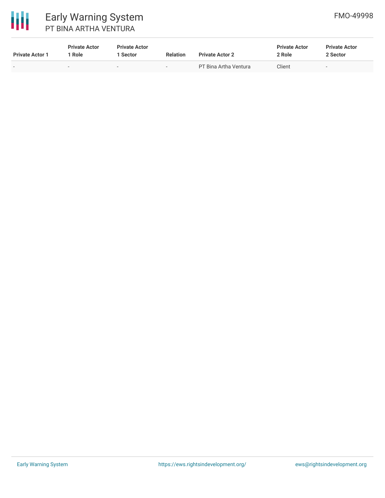

| <b>Private Actor 1</b>   | <b>Private Actor</b><br>1 Role | <b>Private Actor</b><br>l Sector | <b>Relation</b>          | <b>Private Actor 2</b> | <b>Private Actor</b><br>2 Role | <b>Private Actor</b><br>2 Sector |
|--------------------------|--------------------------------|----------------------------------|--------------------------|------------------------|--------------------------------|----------------------------------|
| $\overline{\phantom{0}}$ | $\overline{\phantom{0}}$       | $\overline{\phantom{a}}$         | $\overline{\phantom{0}}$ | PT Bina Artha Ventura  | Client                         | $\overline{\phantom{0}}$         |